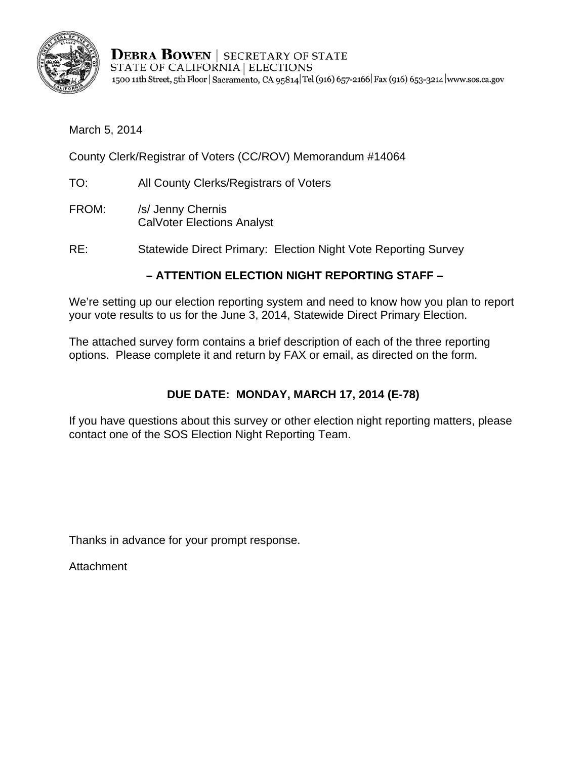

**DEBRA BOWEN** | SECRETARY OF STATE STATE OF CALIFORNIA | ELECTIONS 1500 11th Street, 5th Floor | Sacramento, CA 95814 Tel (916) 657-2166 Fax (916) 653-3214 | www.sos.ca.gov

March 5, 2014

County Clerk/Registrar of Voters (CC/ROV) Memorandum #14064

- TO: All County Clerks/Registrars of Voters
- FROM: /s/ Jenny Chernis CalVoter Elections Analyst
- RE: Statewide Direct Primary: Election Night Vote Reporting Survey

## **– ATTENTION ELECTION NIGHT REPORTING STAFF –**

We're setting up our election reporting system and need to know how you plan to report your vote results to us for the June 3, 2014, Statewide Direct Primary Election.

The attached survey form contains a brief description of each of the three reporting options. Please complete it and return by FAX or email, as directed on the form.

## **DUE DATE: MONDAY, MARCH 17, 2014 (E-78)**

If you have questions about this survey or other election night reporting matters, please contact one of the SOS Election Night Reporting Team.

Thanks in advance for your prompt response.

Attachment